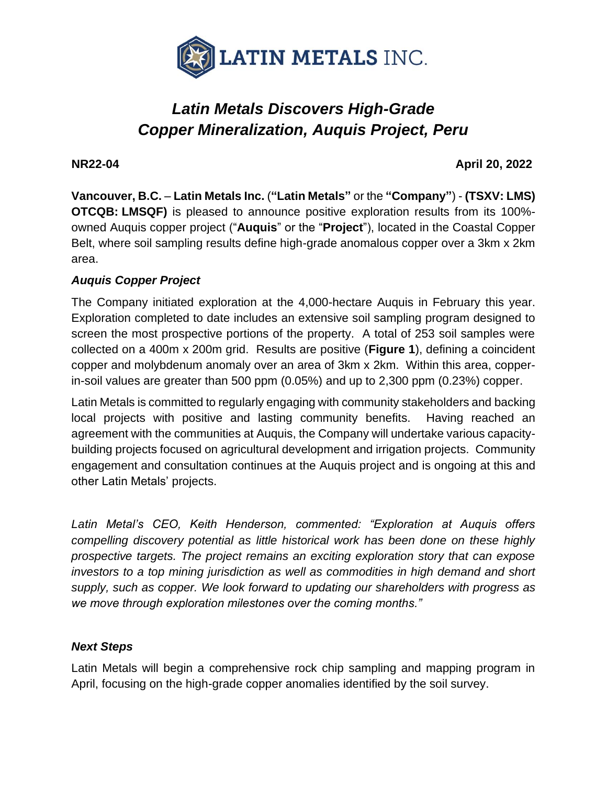

# *Latin Metals Discovers High-Grade Copper Mineralization, Auquis Project, Peru*

#### **NR22-04 April 20, 2022**

**Vancouver, B.C.** – **Latin Metals Inc.** (**"Latin Metals"** or the **"Company"**) - **(TSXV: LMS) OTCQB: LMSQF)** is pleased to announce positive exploration results from its 100% owned Auquis copper project ("**Auquis**" or the "**Project**"), located in the Coastal Copper Belt, where soil sampling results define high-grade anomalous copper over a 3km x 2km area.

# *Auquis Copper Project*

The Company initiated exploration at the 4,000-hectare Auquis in February this year. Exploration completed to date includes an extensive soil sampling program designed to screen the most prospective portions of the property. A total of 253 soil samples were collected on a 400m x 200m grid. Results are positive (**Figure 1**), defining a coincident copper and molybdenum anomaly over an area of 3km x 2km. Within this area, copperin-soil values are greater than 500 ppm (0.05%) and up to 2,300 ppm (0.23%) copper.

Latin Metals is committed to regularly engaging with community stakeholders and backing local projects with positive and lasting community benefits. Having reached an agreement with the communities at Auquis, the Company will undertake various capacitybuilding projects focused on agricultural development and irrigation projects. Community engagement and consultation continues at the Auquis project and is ongoing at this and other Latin Metals' projects.

*Latin Metal's CEO, Keith Henderson, commented: "Exploration at Auquis offers compelling discovery potential as little historical work has been done on these highly prospective targets. The project remains an exciting exploration story that can expose investors to a top mining jurisdiction as well as commodities in high demand and short supply, such as copper. We look forward to updating our shareholders with progress as we move through exploration milestones over the coming months."*

### *Next Steps*

Latin Metals will begin a comprehensive rock chip sampling and mapping program in April, focusing on the high-grade copper anomalies identified by the soil survey.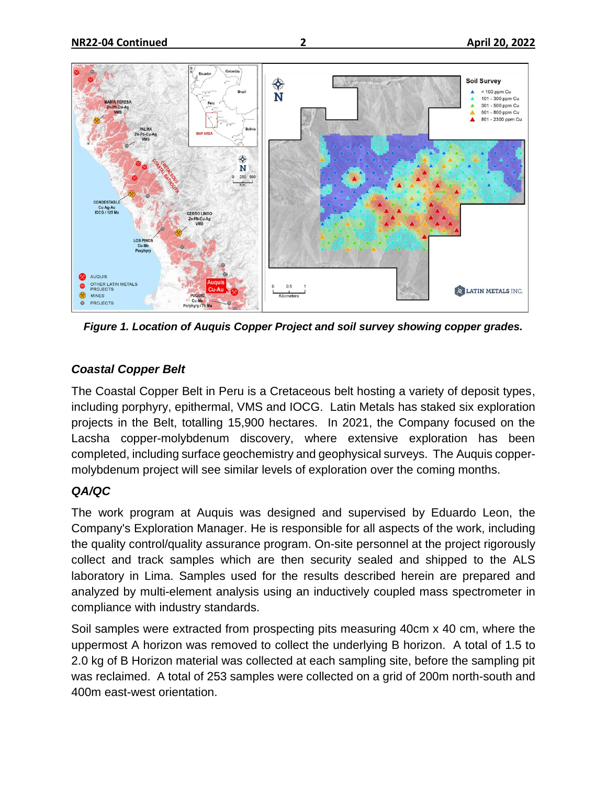

*Figure 1. Location of Auquis Copper Project and soil survey showing copper grades.*

### *Coastal Copper Belt*

The Coastal Copper Belt in Peru is a Cretaceous belt hosting a variety of deposit types, including porphyry, epithermal, VMS and IOCG. Latin Metals has staked six exploration projects in the Belt, totalling 15,900 hectares. In 2021, the Company focused on the Lacsha copper-molybdenum discovery, where extensive exploration has been completed, including surface geochemistry and geophysical surveys. The Auquis coppermolybdenum project will see similar levels of exploration over the coming months.

### *QA/QC*

The work program at Auquis was designed and supervised by Eduardo Leon, the Company's Exploration Manager. He is responsible for all aspects of the work, including the quality control/quality assurance program. On-site personnel at the project rigorously collect and track samples which are then security sealed and shipped to the ALS laboratory in Lima. Samples used for the results described herein are prepared and analyzed by multi-element analysis using an inductively coupled mass spectrometer in compliance with industry standards.

Soil samples were extracted from prospecting pits measuring 40cm x 40 cm, where the uppermost A horizon was removed to collect the underlying B horizon. A total of 1.5 to 2.0 kg of B Horizon material was collected at each sampling site, before the sampling pit was reclaimed. A total of 253 samples were collected on a grid of 200m north-south and 400m east-west orientation.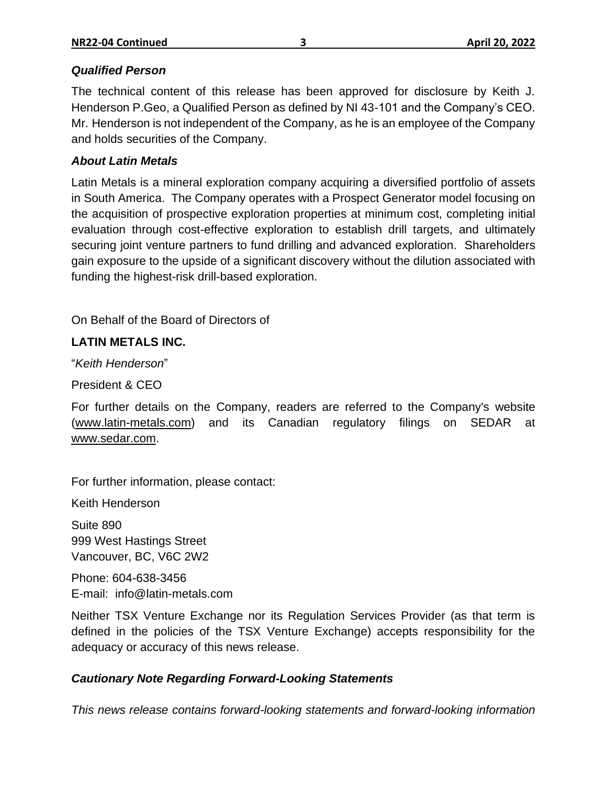#### *Qualified Person*

The technical content of this release has been approved for disclosure by Keith J. Henderson P.Geo, a Qualified Person as defined by NI 43-101 and the Company's CEO. Mr. Henderson is not independent of the Company, as he is an employee of the Company and holds securities of the Company.

#### *About Latin Metals*

Latin Metals is a mineral exploration company acquiring a diversified portfolio of assets in South America. The Company operates with a Prospect Generator model focusing on the acquisition of prospective exploration properties at minimum cost, completing initial evaluation through cost-effective exploration to establish drill targets, and ultimately securing joint venture partners to fund drilling and advanced exploration. Shareholders gain exposure to the upside of a significant discovery without the dilution associated with funding the highest-risk drill-based exploration.

On Behalf of the Board of Directors of

# **LATIN METALS INC.**

"*Keith Henderson*"

President & CEO

For further details on the Company, readers are referred to the Company's website [\(www.latin-metals.com\)](http://www.centeneramining.com/) and its Canadian regulatory filings on SEDAR at [www.sedar.com.](http://www.sedar.com/)

For further information, please contact:

Keith Henderson

Suite 890 999 West Hastings Street Vancouver, BC, V6C 2W2

Phone: 604-638-3456 E-mail: info@latin-metals.com

Neither TSX Venture Exchange nor its Regulation Services Provider (as that term is defined in the policies of the TSX Venture Exchange) accepts responsibility for the adequacy or accuracy of this news release.

### *Cautionary Note Regarding Forward-Looking Statements*

*This news release contains forward-looking statements and forward-looking information*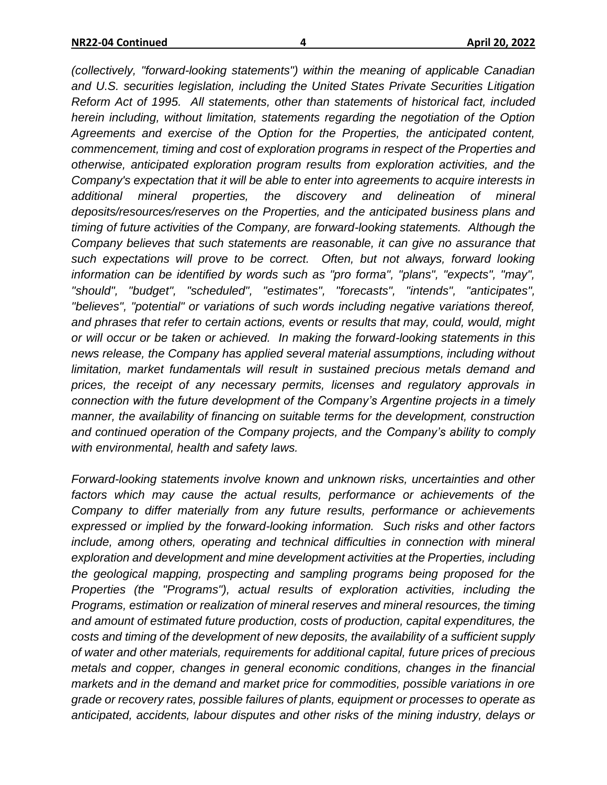*(collectively, "forward-looking statements") within the meaning of applicable Canadian and U.S. securities legislation, including the United States Private Securities Litigation Reform Act of 1995. All statements, other than statements of historical fact, included herein including, without limitation, statements regarding the negotiation of the Option Agreements and exercise of the Option for the Properties, the anticipated content, commencement, timing and cost of exploration programs in respect of the Properties and otherwise, anticipated exploration program results from exploration activities, and the Company's expectation that it will be able to enter into agreements to acquire interests in additional mineral properties, the discovery and delineation of mineral deposits/resources/reserves on the Properties, and the anticipated business plans and timing of future activities of the Company, are forward-looking statements. Although the Company believes that such statements are reasonable, it can give no assurance that such expectations will prove to be correct. Often, but not always, forward looking information can be identified by words such as "pro forma", "plans", "expects", "may", "should", "budget", "scheduled", "estimates", "forecasts", "intends", "anticipates", "believes", "potential" or variations of such words including negative variations thereof, and phrases that refer to certain actions, events or results that may, could, would, might or will occur or be taken or achieved. In making the forward-looking statements in this news release, the Company has applied several material assumptions, including without limitation, market fundamentals will result in sustained precious metals demand and prices, the receipt of any necessary permits, licenses and regulatory approvals in connection with the future development of the Company's Argentine projects in a timely manner, the availability of financing on suitable terms for the development, construction and continued operation of the Company projects, and the Company's ability to comply with environmental, health and safety laws.*

*Forward-looking statements involve known and unknown risks, uncertainties and other*  factors which may cause the actual results, performance or achievements of the *Company to differ materially from any future results, performance or achievements expressed or implied by the forward-looking information. Such risks and other factors include, among others, operating and technical difficulties in connection with mineral exploration and development and mine development activities at the Properties, including the geological mapping, prospecting and sampling programs being proposed for the Properties (the "Programs"), actual results of exploration activities, including the Programs, estimation or realization of mineral reserves and mineral resources, the timing and amount of estimated future production, costs of production, capital expenditures, the costs and timing of the development of new deposits, the availability of a sufficient supply of water and other materials, requirements for additional capital, future prices of precious metals and copper, changes in general economic conditions, changes in the financial markets and in the demand and market price for commodities, possible variations in ore grade or recovery rates, possible failures of plants, equipment or processes to operate as anticipated, accidents, labour disputes and other risks of the mining industry, delays or*